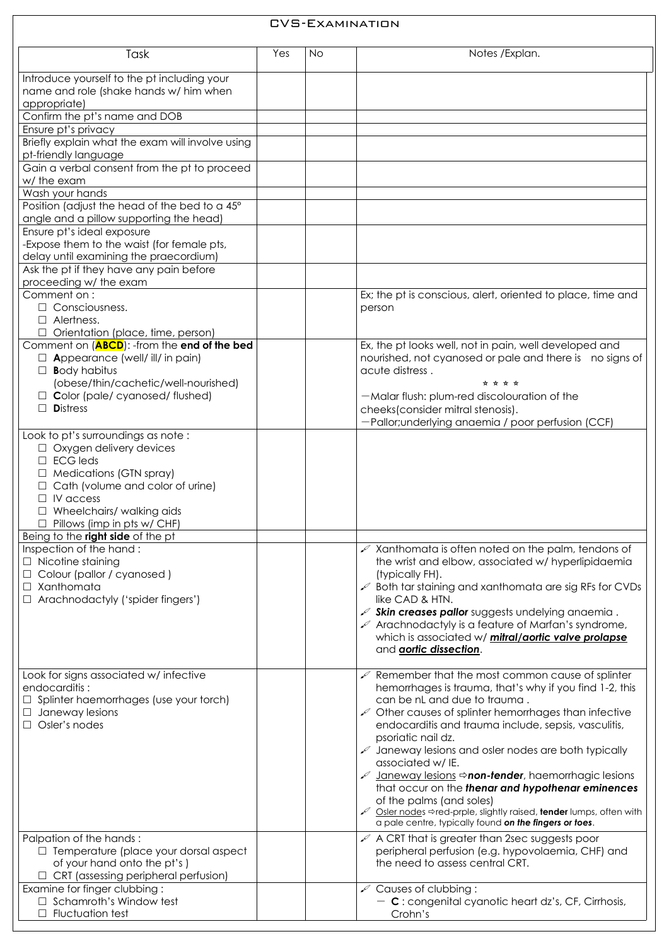| <b>CVS-EXAMINATION</b>                                                                                                                                                                                                                                                                                              |     |           |                                                                                                                                                                                                                                                                                                                                                                                                                                                                                                                                                                                                                                                                                                                                                                                                                                                |  |  |
|---------------------------------------------------------------------------------------------------------------------------------------------------------------------------------------------------------------------------------------------------------------------------------------------------------------------|-----|-----------|------------------------------------------------------------------------------------------------------------------------------------------------------------------------------------------------------------------------------------------------------------------------------------------------------------------------------------------------------------------------------------------------------------------------------------------------------------------------------------------------------------------------------------------------------------------------------------------------------------------------------------------------------------------------------------------------------------------------------------------------------------------------------------------------------------------------------------------------|--|--|
| Task                                                                                                                                                                                                                                                                                                                | Yes | <b>No</b> | Notes / Explan.                                                                                                                                                                                                                                                                                                                                                                                                                                                                                                                                                                                                                                                                                                                                                                                                                                |  |  |
| Introduce yourself to the pt including your<br>name and role (shake hands w/ him when<br>appropriate)                                                                                                                                                                                                               |     |           |                                                                                                                                                                                                                                                                                                                                                                                                                                                                                                                                                                                                                                                                                                                                                                                                                                                |  |  |
| Confirm the pt's name and DOB                                                                                                                                                                                                                                                                                       |     |           |                                                                                                                                                                                                                                                                                                                                                                                                                                                                                                                                                                                                                                                                                                                                                                                                                                                |  |  |
| Ensure pt's privacy                                                                                                                                                                                                                                                                                                 |     |           |                                                                                                                                                                                                                                                                                                                                                                                                                                                                                                                                                                                                                                                                                                                                                                                                                                                |  |  |
| Briefly explain what the exam will involve using<br>pt-friendly language                                                                                                                                                                                                                                            |     |           |                                                                                                                                                                                                                                                                                                                                                                                                                                                                                                                                                                                                                                                                                                                                                                                                                                                |  |  |
| Gain a verbal consent from the pt to proceed<br>w/ the exam                                                                                                                                                                                                                                                         |     |           |                                                                                                                                                                                                                                                                                                                                                                                                                                                                                                                                                                                                                                                                                                                                                                                                                                                |  |  |
| Wash your hands<br>Position (adjust the head of the bed to a 45°<br>angle and a pillow supporting the head)                                                                                                                                                                                                         |     |           |                                                                                                                                                                                                                                                                                                                                                                                                                                                                                                                                                                                                                                                                                                                                                                                                                                                |  |  |
| Ensure pt's ideal exposure<br>-Expose them to the waist (for female pts,<br>delay until examining the praecordium)                                                                                                                                                                                                  |     |           |                                                                                                                                                                                                                                                                                                                                                                                                                                                                                                                                                                                                                                                                                                                                                                                                                                                |  |  |
| Ask the pt if they have any pain before<br>proceeding w/ the exam<br>Comment on:<br>$\Box$ Consciousness.<br>$\Box$ Alertness.                                                                                                                                                                                      |     |           | Ex; the pt is conscious, alert, oriented to place, time and<br>person                                                                                                                                                                                                                                                                                                                                                                                                                                                                                                                                                                                                                                                                                                                                                                          |  |  |
| $\Box$ Orientation (place, time, person)                                                                                                                                                                                                                                                                            |     |           |                                                                                                                                                                                                                                                                                                                                                                                                                                                                                                                                                                                                                                                                                                                                                                                                                                                |  |  |
| Comment on ( <b>ABCD</b> ): -from the <b>end of the bed</b><br>$\Box$ Appearance (well/ ill/ in pain)<br><b>Body habitus</b><br>$\Box$<br>(obese/thin/cachetic/well-nourished)<br>$\Box$ Color (pale/ cyanosed/ flushed)<br>$\Box$ Distress                                                                         |     |           | Ex, the pt looks well, not in pain, well developed and<br>nourished, not cyanosed or pale and there is no signs of<br>acute distress.<br>☆ ☆ ☆ ☆<br>— Malar flush: plum-red discolouration of the<br>cheeks(consider mitral stenosis).                                                                                                                                                                                                                                                                                                                                                                                                                                                                                                                                                                                                         |  |  |
| Look to pt's surroundings as note :                                                                                                                                                                                                                                                                                 |     |           | -Pallor; underlying anaemia / poor perfusion (CCF)                                                                                                                                                                                                                                                                                                                                                                                                                                                                                                                                                                                                                                                                                                                                                                                             |  |  |
| $\Box$ Oxygen delivery devices<br>$\Box$ ECG leds<br>$\Box$ Medications (GTN spray)<br>$\Box$ Cath (volume and color of urine)<br>$\Box$ IV access<br>$\Box$ Wheelchairs/ walking aids<br>$\Box$ Pillows (imp in pts w/ CHF)                                                                                        |     |           |                                                                                                                                                                                                                                                                                                                                                                                                                                                                                                                                                                                                                                                                                                                                                                                                                                                |  |  |
| Being to the <b>right side</b> of the pt<br>Inspection of the hand:                                                                                                                                                                                                                                                 |     |           | $\mathscr{L}$ Xanthomata is often noted on the palm, tendons of                                                                                                                                                                                                                                                                                                                                                                                                                                                                                                                                                                                                                                                                                                                                                                                |  |  |
| $\Box$ Nicotine staining<br>□ Colour (pallor / cyanosed)<br>$\Box$ Xanthomata<br>$\Box$ Arachnodactyly ('spider fingers')                                                                                                                                                                                           |     |           | the wrist and elbow, associated w/ hyperlipidaemia<br>(typically FH).<br>$\mathscr{P}$ Both tar staining and xanthomata are sig RFs for CVDs<br>like CAD & HTN.<br>$\mathscr{I}$ Skin creases pallor suggests undelying anaemia.<br>$\mathcal{L}$ Arachnodactyly is a feature of Marfan's syndrome,<br>which is associated w/ <i>mitral/aortic valve prolapse</i><br>and aortic dissection.                                                                                                                                                                                                                                                                                                                                                                                                                                                    |  |  |
| Look for signs associated w/ infective<br>endocarditis:<br>$\Box$ Splinter haemorrhages (use your torch)<br>$\Box$ Janeway lesions<br>$\Box$ Osler's nodes<br>Palpation of the hands:<br>$\Box$ Temperature (place your dorsal aspect<br>of your hand onto the pt's)<br>$\Box$ CRT (assessing peripheral perfusion) |     |           | $\mathcal{P}$ Remember that the most common cause of splinter<br>hemorrhages is trauma, that's why if you find 1-2, this<br>can be nL and due to trauma.<br>$\mathcal{L}$ Other causes of splinter hemorrhages than infective<br>endocarditis and trauma include, sepsis, vasculitis,<br>psoriatic nail dz.<br>Janeway lesions and osler nodes are both typically<br>associated w/IE.<br>Janeway lesions $\Rightarrow$ non-tender, haemorrhagic lesions<br>that occur on the thenar and hypothenar eminences<br>of the palms (and soles)<br>Osler nodes $\Leftrightarrow$ red-prple, slightly raised, tender lumps, often with<br>a pale centre, typically found on the fingers or toes.<br>$\mathscr A$ A CRT that is greater than 2sec suggests poor<br>peripheral perfusion (e.g. hypovolaemia, CHF) and<br>the need to assess central CRT. |  |  |
| Examine for finger clubbing:                                                                                                                                                                                                                                                                                        |     |           | ✔ Causes of clubbing:                                                                                                                                                                                                                                                                                                                                                                                                                                                                                                                                                                                                                                                                                                                                                                                                                          |  |  |
| $\Box$ Schamroth's Window test<br>$\Box$ Fluctuation test                                                                                                                                                                                                                                                           |     |           | $-$ C : congenital cyanotic heart dz's, CF, Cirrhosis,<br>Crohn's                                                                                                                                                                                                                                                                                                                                                                                                                                                                                                                                                                                                                                                                                                                                                                              |  |  |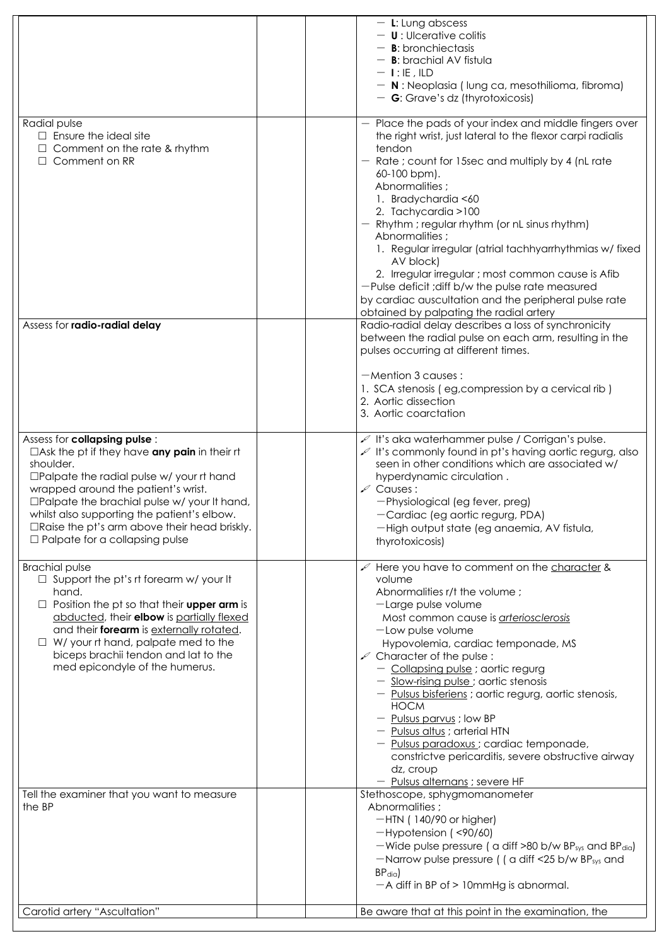|                                                                                                                                                                                                                                                                                                                                                                                                               | $-$ L: Lung abscess<br>$-$ <b>U</b> : Ulcerative colitis<br>$-$ <b>B</b> : bronchiectasis<br>$-$ <b>B</b> : brachial AV fistula<br>$-$ 1: IE , ILD<br>$-$ N : Neoplasia (lung ca, mesothilioma, fibroma)<br>$-$ G: Grave's dz (thyrotoxicosis)                                                                                                                                                                                                                                                                                                                                                                              |
|---------------------------------------------------------------------------------------------------------------------------------------------------------------------------------------------------------------------------------------------------------------------------------------------------------------------------------------------------------------------------------------------------------------|-----------------------------------------------------------------------------------------------------------------------------------------------------------------------------------------------------------------------------------------------------------------------------------------------------------------------------------------------------------------------------------------------------------------------------------------------------------------------------------------------------------------------------------------------------------------------------------------------------------------------------|
| Radial pulse<br>$\Box$ Ensure the ideal site<br>Comment on the rate & rhythm<br>$\Box$ Comment on RR                                                                                                                                                                                                                                                                                                          | Place the pads of your index and middle fingers over<br>the right wrist, just lateral to the flexor carpi radialis<br>tendon<br>Rate; count for 15sec and multiply by 4 (nL rate)<br>$60-100$ bpm).<br>Abnormalities;<br>1. Bradychardia <60<br>2. Tachycardia > 100<br>Rhythm; regular rhythm (or nL sinus rhythm)<br>Abnormalities;<br>1. Regular irregular (atrial tachhyarrhythmias w/fixed<br>AV block)<br>2. Irregular irregular ; most common cause is Afib<br>-Pulse deficit ; diff b/w the pulse rate measured<br>by cardiac auscultation and the peripheral pulse rate<br>obtained by palpating the radial artery |
| Assess for radio-radial delay                                                                                                                                                                                                                                                                                                                                                                                 | Radio-radial delay describes a loss of synchronicity<br>between the radial pulse on each arm, resulting in the<br>pulses occurring at different times.<br>$-Mention 3 causes:$<br>1. SCA stenosis (eg, compression by a cervical rib)<br>2. Aortic dissection<br>3. Aortic coarctation                                                                                                                                                                                                                                                                                                                                      |
| Assess for <b>collapsing pulse</b> :<br>$\Box$ Ask the pt if they have any pain in their rt<br>shoulder.<br>$\square$ Palpate the radial pulse w/ your rt hand<br>wrapped around the patient's wrist.<br>$\square$ Palpate the brachial pulse w/ your It hand,<br>whilst also supporting the patient's elbow.<br>$\Box$ Raise the pt's arm above their head briskly.<br>$\Box$ Palpate for a collapsing pulse | It's aka waterhammer pulse / Corrigan's pulse.<br>It's commonly found in pt's having aortic regurg, also<br>seen in other conditions which are associated w/<br>hyperdynamic circulation.<br>$\mathscr{L}$ Causes:<br>-Physiological (eg fever, preg)<br>-Cardiac (eg aortic regurg, PDA)<br>-High output state (eg anaemia, AV fistula,<br>thyrotoxicosis)                                                                                                                                                                                                                                                                 |
| <b>Brachial pulse</b><br>$\Box$ Support the pt's rt forearm w/ your It<br>hand.<br>Position the pt so that their <b>upper arm</b> is<br>abducted, their <b>elbow</b> is partially flexed<br>and their forearm is externally rotated.<br>W/ your rt hand, palpate med to the<br>biceps brachii tendon and lat to the<br>med epicondyle of the humerus.                                                         | Here you have to comment on the character &<br>volume<br>Abnormalities r/t the volume ;<br>-Large pulse volume<br>Most common cause is arteriosclerosis<br>$-$ Low pulse volume<br>Hypovolemia, cardiac temponade, MS<br>$\mathscr{L}$ Character of the pulse :<br>- Collapsing pulse ; aortic regurg<br>- Slow-rising pulse; aortic stenosis<br>- <u>Pulsus bisferiens</u> ; aortic regurg, aortic stenosis,<br><b>HOCM</b><br>- Pulsus parvus ; low BP<br>- Pulsus altus ; arterial HTN<br>- Pulsus paradoxus ; cardiac temponade,<br>constrictve pericarditis, severe obstructive airway<br>dz, croup                    |
| Tell the examiner that you want to measure<br>the BP                                                                                                                                                                                                                                                                                                                                                          | - Pulsus alternans ; severe HF<br>Stethoscope, sphygmomanometer<br>Abnormalities;<br>$-HIN$ (140/90 or higher)<br>$-Hypotension$ (<90/60)<br>-Wide pulse pressure ( $\alpha$ diff >80 b/w BP <sub>sys</sub> and BP <sub>dia</sub> )<br>-Narrow pulse pressure ((a diff <25 b/w BP <sub>sys</sub> and<br>$BP_{diq}$<br>$-A$ diff in BP of $> 10$ mmHg is abnormal.                                                                                                                                                                                                                                                           |
| Carotid artery "Ascultation"                                                                                                                                                                                                                                                                                                                                                                                  | Be aware that at this point in the examination, the                                                                                                                                                                                                                                                                                                                                                                                                                                                                                                                                                                         |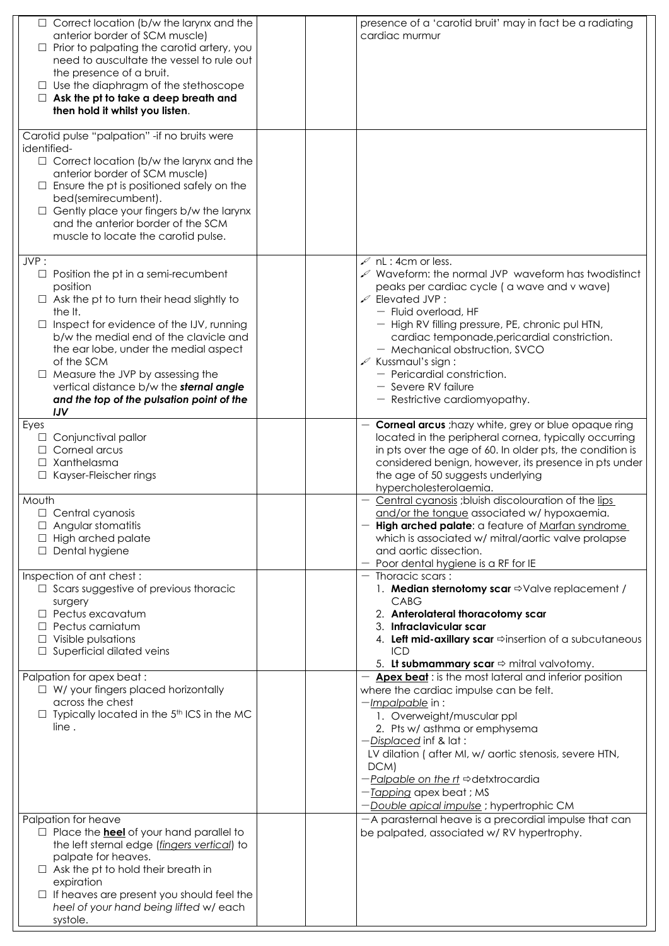| Correct location (b/w the larynx and the<br>anterior border of SCM muscle)<br>Prior to palpating the carotid artery, you<br>$\Box$<br>need to auscultate the vessel to rule out<br>the presence of a bruit.<br>Use the diaphragm of the stethoscope<br>Ask the pt to take a deep breath and<br>then hold it whilst you listen.<br>Carotid pulse "palpation" - if no bruits were<br>identified-<br>$\Box$ Correct location (b/w the larynx and the<br>anterior border of SCM muscle)<br>Ensure the pt is positioned safely on the<br>bed(semirecumbent).<br>Gently place your fingers b/w the larynx<br>and the anterior border of the SCM<br>muscle to locate the carotid pulse. | presence of a 'carotid bruit' may in fact be a radiating<br>cardiac murmur                                                                                                                                                                                                                                                                                                                                                                                                                                                                                                                                                                                                                                                                    |  |
|----------------------------------------------------------------------------------------------------------------------------------------------------------------------------------------------------------------------------------------------------------------------------------------------------------------------------------------------------------------------------------------------------------------------------------------------------------------------------------------------------------------------------------------------------------------------------------------------------------------------------------------------------------------------------------|-----------------------------------------------------------------------------------------------------------------------------------------------------------------------------------------------------------------------------------------------------------------------------------------------------------------------------------------------------------------------------------------------------------------------------------------------------------------------------------------------------------------------------------------------------------------------------------------------------------------------------------------------------------------------------------------------------------------------------------------------|--|
| JVP:<br>Position the pt in a semi-recumbent<br>position<br>Ask the pt to turn their head slightly to<br>the It.<br>Inspect for evidence of the IJV, running<br>b/w the medial end of the clavicle and<br>the ear lobe, under the medial aspect<br>of the SCM<br>Measure the JVP by assessing the<br>vertical distance b/w the sternal angle<br>and the top of the pulsation point of the<br><b>IJV</b>                                                                                                                                                                                                                                                                           | $\mathscr{L}$ nL : 4cm or less.<br>$\mathcal{L}$ Waveform: the normal JVP waveform has twodistinct<br>peaks per cardiac cycle (a wave and v wave)<br>$\mathcal{L}$ Elevated JVP:<br>- Fluid overload, HF<br>- High RV filling pressure, PE, chronic pul HTN,<br>cardiac temponade, pericardial constriction.<br>- Mechanical obstruction, SVCO<br>$\mathscr{L}$ Kussmaul's sign:<br>- Pericardial constriction.<br>- Severe RV failure<br>- Restrictive cardiomyopathy.                                                                                                                                                                                                                                                                       |  |
| Eyes<br>Conjunctival pallor<br>Corneal arcus<br>Xanthelasma<br>Kayser-Fleischer rings<br>Mouth<br>Central cyanosis<br>Angular stomatitis<br>High arched palate<br>Dental hygiene<br>$\Box$                                                                                                                                                                                                                                                                                                                                                                                                                                                                                       | <b>Corneal arcus</b> ; hazy white, grey or blue opaque ring<br>located in the peripheral cornea, typically occurring<br>in pts over the age of 60. In older pts, the condition is<br>considered benign, however, its presence in pts under<br>the age of 50 suggests underlying<br>hypercholesterolaemia.<br>Central cyanosis ; bluish discolouration of the lips<br>and/or the tongue associated w/ hypoxaemia.<br>- High arched palate: a feature of Marfan syndrome<br>which is associated w/ mitral/aortic valve prolapse<br>and aortic dissection.<br>- Poor dental hygiene is a RF for IE                                                                                                                                               |  |
| Inspection of ant chest:<br>Scars suggestive of previous thoracic<br>surgery<br>Pectus excavatum<br>Pectus carniatum<br>Visible pulsations<br>Superficial dilated veins<br>Palpation for apex beat:<br>W/ your fingers placed horizontally<br>$\Box$<br>across the chest<br>Typically located in the 5 <sup>th</sup> ICS in the MC<br>line.                                                                                                                                                                                                                                                                                                                                      | $-$ Thoracic scars:<br>1. Median sternotomy scar $\Rightarrow$ Valve replacement /<br><b>CABG</b><br>2. Anterolateral thoracotomy scar<br>3. Infraclavicular scar<br>4. Left mid-axillary scar $\Rightarrow$ insertion of a subcutaneous<br><b>ICD</b><br>5. <b>Lt submammary scar</b> $\Rightarrow$ mitral valvotomy.<br><b>Apex beat</b> : is the most lateral and inferior position<br>where the cardiac impulse can be felt.<br>-Impalpable in:<br>1. Overweight/muscular ppl<br>2. Pts w/ asthma or emphysema<br>$-Displaced$ inf & lat :<br>LV dilation ( after MI, w/ aortic stenosis, severe HTN,<br>DCM)<br>$-Palpable$ on the rt $\Rightarrow$ detxtrocardia<br>-Tapping apex beat ; MS<br>-Double apical impulse ; hypertrophic CM |  |
| Palpation for heave<br>Place the <b>heel</b> of your hand parallel to<br>the left sternal edge ( <i>fingers vertical</i> ) to<br>palpate for heaves.<br>Ask the pt to hold their breath in<br>expiration<br>If heaves are present you should feel the<br>heel of your hand being lifted w/each<br>systole.                                                                                                                                                                                                                                                                                                                                                                       | -A parasternal heave is a precordial impulse that can<br>be palpated, associated w/RV hypertrophy.                                                                                                                                                                                                                                                                                                                                                                                                                                                                                                                                                                                                                                            |  |